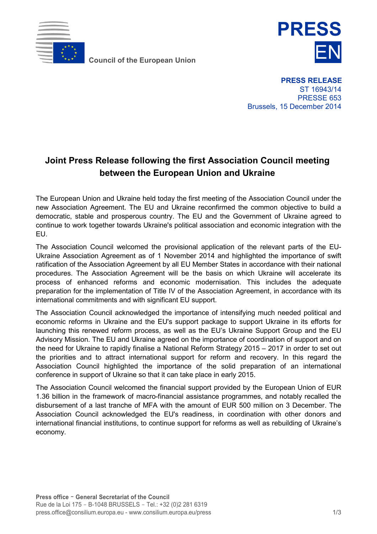

**Council of the European Union** 



**PRESS RELEASE** ST 16943/14 PRESSE 653 Brussels, 15 December 2014

## **Joint Press Release following the first Association Council meeting between the European Union and Ukraine**

The European Union and Ukraine held today the first meeting of the Association Council under the new Association Agreement. The EU and Ukraine reconfirmed the common objective to build a democratic, stable and prosperous country. The EU and the Government of Ukraine agreed to continue to work together towards Ukraine's political association and economic integration with the EU.

The Association Council welcomed the provisional application of the relevant parts of the EU-Ukraine Association Agreement as of 1 November 2014 and highlighted the importance of swift ratification of the Association Agreement by all EU Member States in accordance with their national procedures. The Association Agreement will be the basis on which Ukraine will accelerate its process of enhanced reforms and economic modernisation. This includes the adequate preparation for the implementation of Title IV of the Association Agreement, in accordance with its international commitments and with significant EU support.

The Association Council acknowledged the importance of intensifying much needed political and economic reforms in Ukraine and the EU's support package to support Ukraine in its efforts for launching this renewed reform process, as well as the EU's Ukraine Support Group and the EU Advisory Mission. The EU and Ukraine agreed on the importance of coordination of support and on the need for Ukraine to rapidly finalise a National Reform Strategy 2015 – 2017 in order to set out the priorities and to attract international support for reform and recovery. In this regard the Association Council highlighted the importance of the solid preparation of an international conference in support of Ukraine so that it can take place in early 2015.

The Association Council welcomed the financial support provided by the European Union of EUR 1.36 billion in the framework of macro-financial assistance programmes, and notably recalled the disbursement of a last tranche of MFA with the amount of EUR 500 million on 3 December. The Association Council acknowledged the EU's readiness, in coordination with other donors and international financial institutions, to continue support for reforms as well as rebuilding of Ukraine's economy.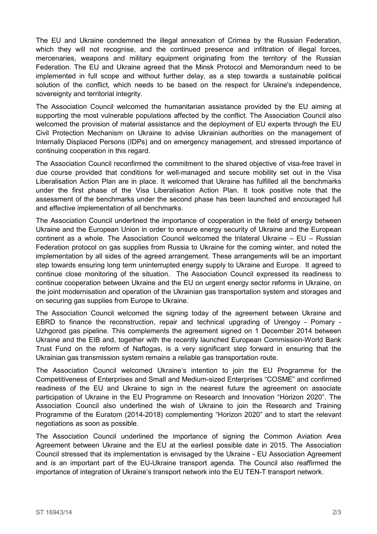The EU and Ukraine condemned the illegal annexation of Crimea by the Russian Federation, which they will not recognise, and the continued presence and infiltration of illegal forces, mercenaries, weapons and military equipment originating from the territory of the Russian Federation. The EU and Ukraine agreed that the Minsk Protocol and Memorandum need to be implemented in full scope and without further delay, as a step towards a sustainable political solution of the conflict, which needs to be based on the respect for Ukraine's independence, sovereignty and territorial integrity.

The Association Council welcomed the humanitarian assistance provided by the EU aiming at supporting the most vulnerable populations affected by the conflict. The Association Council also welcomed the provision of material assistance and the deployment of EU experts through the EU Civil Protection Mechanism on Ukraine to advise Ukrainian authorities on the management of Internally Displaced Persons (IDPs) and on emergency management, and stressed importance of continuing cooperation in this regard.

The Association Council reconfirmed the commitment to the shared objective of visa-free travel in due course provided that conditions for well-managed and secure mobility set out in the Visa Liberalisation Action Plan are in place. It welcomed that Ukraine has fulfilled all the benchmarks under the first phase of the Visa Liberalisation Action Plan. It took positive note that the assessment of the benchmarks under the second phase has been launched and encouraged full and effective implementation of all benchmarks.

The Association Council underlined the importance of cooperation in the field of energy between Ukraine and the European Union in order to ensure energy security of Ukraine and the European continent as a whole. The Association Council welcomed the trilateral Ukraine – EU – Russian Federation protocol on gas supplies from Russia to Ukraine for the coming winter, and noted the implementation by all sides of the agreed arrangement. These arrangements will be an important step towards ensuring long term uninterrupted energy supply to Ukraine and Europe. It agreed to continue close monitoring of the situation. The Association Council expressed its readiness to continue cooperation between Ukraine and the EU on urgent energy sector reforms in Ukraine, on the joint modernisation and operation of the Ukrainian gas transportation system and storages and on securing gas supplies from Europe to Ukraine.

The Association Council welcomed the signing today of the agreement between Ukraine and EBRD to finance the reconstruction, repair and technical upgrading of Urengoy - Pomary - Uzhgorod gas pipeline. This complements the agreement signed on 1 December 2014 between Ukraine and the EIB and, together with the recently launched European Commission-World Bank Trust Fund on the reform of Naftogas, is a very significant step forward in ensuring that the Ukrainian gas transmission system remains a reliable gas transportation route.

The Association Council welcomed Ukraine's intention to join the EU Programme for the Competitiveness of Enterprises and Small and Medium-sized Enterprises "COSME" and confirmed readiness of the EU and Ukraine to sign in the nearest future the agreement on associate participation of Ukraine in the EU Programme on Research and Innovation "Horizon 2020". The Association Council also underlined the wish of Ukraine to join the Research and Training Programme of the Euratom (2014-2018) complementing "Horizon 2020" and to start the relevant negotiations as soon as possible.

The Association Council underlined the importance of signing the Common Aviation Area Agreement between Ukraine and the EU at the earliest possible date in 2015. The Association Council stressed that its implementation is envisaged by the Ukraine - EU Association Agreement and is an important part of the EU-Ukraine transport agenda. The Council also reaffirmed the importance of integration of Ukraine's transport network into the EU TEN-T transport network.